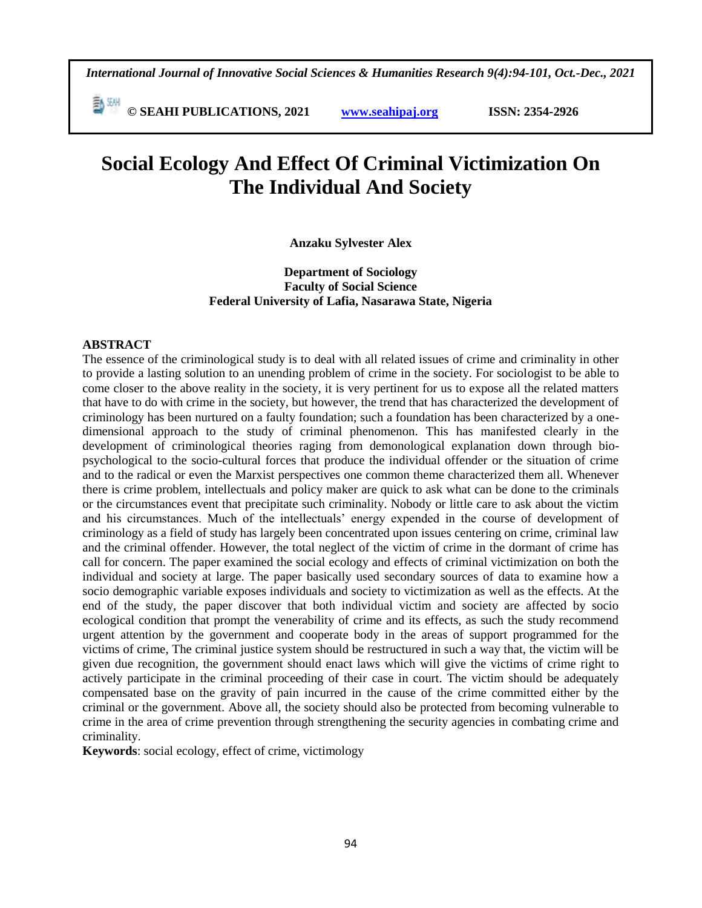*International Journal of Innovative Social Sciences & Humanities Research 9(4):94-101, Oct.-Dec., 2021*

 **© SEAHI PUBLICATIONS, 2021 [www.seahipaj.org](http://www.seahipaj.org/) ISSN: 2354-2926** 

# **Social Ecology And Effect Of Criminal Victimization On The Individual And Society**

**Anzaku Sylvester Alex**

# **Department of Sociology Faculty of Social Science Federal University of Lafia, Nasarawa State, Nigeria**

#### **ABSTRACT**

The essence of the criminological study is to deal with all related issues of crime and criminality in other to provide a lasting solution to an unending problem of crime in the society. For sociologist to be able to come closer to the above reality in the society, it is very pertinent for us to expose all the related matters that have to do with crime in the society, but however, the trend that has characterized the development of criminology has been nurtured on a faulty foundation; such a foundation has been characterized by a onedimensional approach to the study of criminal phenomenon. This has manifested clearly in the development of criminological theories raging from demonological explanation down through biopsychological to the socio-cultural forces that produce the individual offender or the situation of crime and to the radical or even the Marxist perspectives one common theme characterized them all. Whenever there is crime problem, intellectuals and policy maker are quick to ask what can be done to the criminals or the circumstances event that precipitate such criminality. Nobody or little care to ask about the victim and his circumstances. Much of the intellectuals' energy expended in the course of development of criminology as a field of study has largely been concentrated upon issues centering on crime, criminal law and the criminal offender. However, the total neglect of the victim of crime in the dormant of crime has call for concern. The paper examined the social ecology and effects of criminal victimization on both the individual and society at large. The paper basically used secondary sources of data to examine how a socio demographic variable exposes individuals and society to victimization as well as the effects. At the end of the study, the paper discover that both individual victim and society are affected by socio ecological condition that prompt the venerability of crime and its effects, as such the study recommend urgent attention by the government and cooperate body in the areas of support programmed for the victims of crime, The criminal justice system should be restructured in such a way that, the victim will be given due recognition, the government should enact laws which will give the victims of crime right to actively participate in the criminal proceeding of their case in court. The victim should be adequately compensated base on the gravity of pain incurred in the cause of the crime committed either by the criminal or the government. Above all, the society should also be protected from becoming vulnerable to crime in the area of crime prevention through strengthening the security agencies in combating crime and criminality.

**Keywords**: social ecology, effect of crime, victimology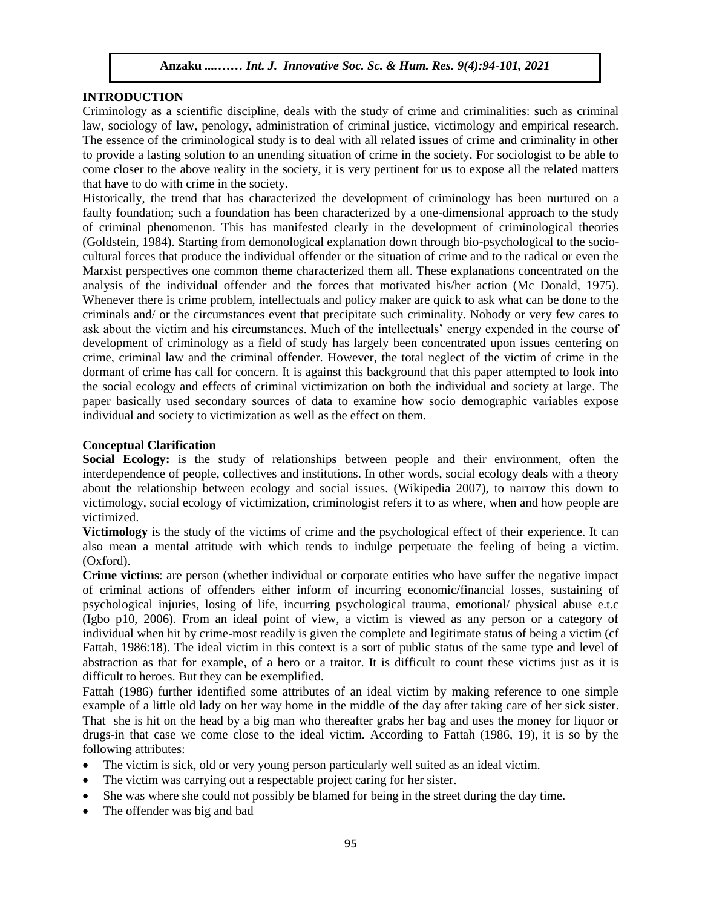# **INTRODUCTION**

Criminology as a scientific discipline, deals with the study of crime and criminalities: such as criminal law, sociology of law, penology, administration of criminal justice, victimology and empirical research. The essence of the criminological study is to deal with all related issues of crime and criminality in other to provide a lasting solution to an unending situation of crime in the society. For sociologist to be able to come closer to the above reality in the society, it is very pertinent for us to expose all the related matters that have to do with crime in the society.

Historically, the trend that has characterized the development of criminology has been nurtured on a faulty foundation; such a foundation has been characterized by a one-dimensional approach to the study of criminal phenomenon. This has manifested clearly in the development of criminological theories (Goldstein, 1984). Starting from demonological explanation down through bio-psychological to the sociocultural forces that produce the individual offender or the situation of crime and to the radical or even the Marxist perspectives one common theme characterized them all. These explanations concentrated on the analysis of the individual offender and the forces that motivated his/her action (Mc Donald, 1975). Whenever there is crime problem, intellectuals and policy maker are quick to ask what can be done to the criminals and/ or the circumstances event that precipitate such criminality. Nobody or very few cares to ask about the victim and his circumstances. Much of the intellectuals' energy expended in the course of development of criminology as a field of study has largely been concentrated upon issues centering on crime, criminal law and the criminal offender. However, the total neglect of the victim of crime in the dormant of crime has call for concern. It is against this background that this paper attempted to look into the social ecology and effects of criminal victimization on both the individual and society at large. The paper basically used secondary sources of data to examine how socio demographic variables expose individual and society to victimization as well as the effect on them.

# **Conceptual Clarification**

**Social Ecology:** is the study of relationships between people and their environment, often the interdependence of people, collectives and institutions. In other words, social ecology deals with a theory about the relationship between ecology and social issues. (Wikipedia 2007), to narrow this down to victimology, social ecology of victimization, criminologist refers it to as where, when and how people are victimized.

**Victimology** is the study of the victims of crime and the psychological effect of their experience. It can also mean a mental attitude with which tends to indulge perpetuate the feeling of being a victim. (Oxford).

**Crime victims**: are person (whether individual or corporate entities who have suffer the negative impact of criminal actions of offenders either inform of incurring economic/financial losses, sustaining of psychological injuries, losing of life, incurring psychological trauma, emotional/ physical abuse e.t.c (Igbo p10, 2006). From an ideal point of view, a victim is viewed as any person or a category of individual when hit by crime-most readily is given the complete and legitimate status of being a victim (cf Fattah, 1986:18). The ideal victim in this context is a sort of public status of the same type and level of abstraction as that for example, of a hero or a traitor. It is difficult to count these victims just as it is difficult to heroes. But they can be exemplified.

Fattah (1986) further identified some attributes of an ideal victim by making reference to one simple example of a little old lady on her way home in the middle of the day after taking care of her sick sister. That she is hit on the head by a big man who thereafter grabs her bag and uses the money for liquor or drugs-in that case we come close to the ideal victim. According to Fattah (1986, 19), it is so by the following attributes:

- The victim is sick, old or very young person particularly well suited as an ideal victim.
- The victim was carrying out a respectable project caring for her sister.
- She was where she could not possibly be blamed for being in the street during the day time.
- The offender was big and bad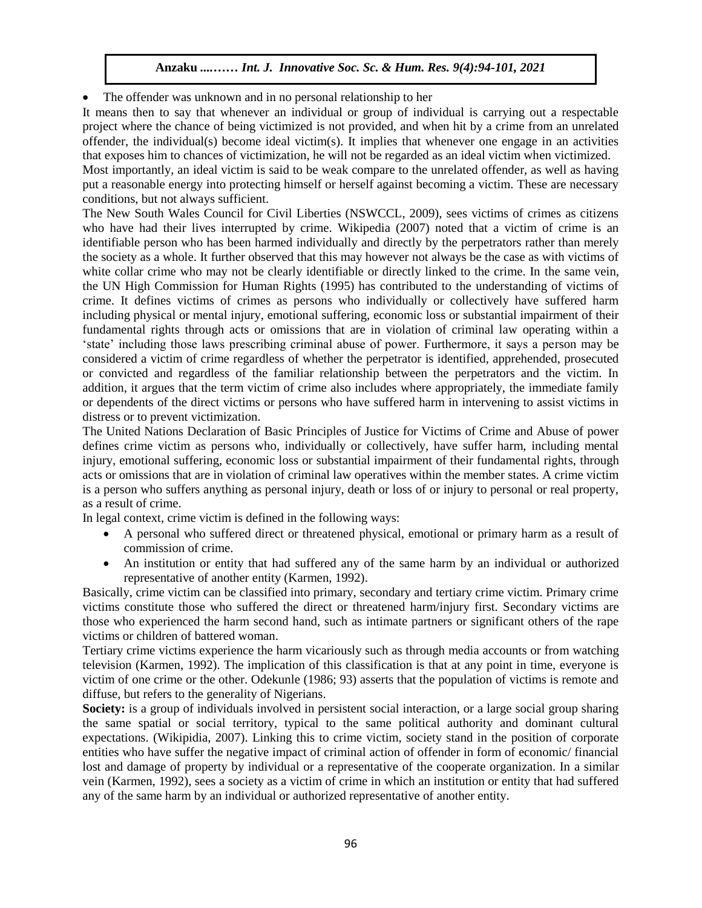The offender was unknown and in no personal relationship to her

It means then to say that whenever an individual or group of individual is carrying out a respectable project where the chance of being victimized is not provided, and when hit by a crime from an unrelated offender, the individual(s) become ideal victim(s). It implies that whenever one engage in an activities that exposes him to chances of victimization, he will not be regarded as an ideal victim when victimized.

Most importantly, an ideal victim is said to be weak compare to the unrelated offender, as well as having put a reasonable energy into protecting himself or herself against becoming a victim. These are necessary conditions, but not always sufficient.

The New South Wales Council for Civil Liberties (NSWCCL, 2009), sees victims of crimes as citizens who have had their lives interrupted by crime. Wikipedia (2007) noted that a victim of crime is an identifiable person who has been harmed individually and directly by the perpetrators rather than merely the society as a whole. It further observed that this may however not always be the case as with victims of white collar crime who may not be clearly identifiable or directly linked to the crime. In the same vein, the UN High Commission for Human Rights (1995) has contributed to the understanding of victims of crime. It defines victims of crimes as persons who individually or collectively have suffered harm including physical or mental injury, emotional suffering, economic loss or substantial impairment of their fundamental rights through acts or omissions that are in violation of criminal law operating within a 'state' including those laws prescribing criminal abuse of power. Furthermore, it says a person may be considered a victim of crime regardless of whether the perpetrator is identified, apprehended, prosecuted or convicted and regardless of the familiar relationship between the perpetrators and the victim. In addition, it argues that the term victim of crime also includes where appropriately, the immediate family or dependents of the direct victims or persons who have suffered harm in intervening to assist victims in distress or to prevent victimization.

The United Nations Declaration of Basic Principles of Justice for Victims of Crime and Abuse of power defines crime victim as persons who, individually or collectively, have suffer harm, including mental injury, emotional suffering, economic loss or substantial impairment of their fundamental rights, through acts or omissions that are in violation of criminal law operatives within the member states. A crime victim is a person who suffers anything as personal injury, death or loss of or injury to personal or real property, as a result of crime.

In legal context, crime victim is defined in the following ways:

- A personal who suffered direct or threatened physical, emotional or primary harm as a result of commission of crime.
- An institution or entity that had suffered any of the same harm by an individual or authorized representative of another entity (Karmen, 1992).

Basically, crime victim can be classified into primary, secondary and tertiary crime victim. Primary crime victims constitute those who suffered the direct or threatened harm/injury first. Secondary victims are those who experienced the harm second hand, such as intimate partners or significant others of the rape victims or children of battered woman.

Tertiary crime victims experience the harm vicariously such as through media accounts or from watching television (Karmen, 1992). The implication of this classification is that at any point in time, everyone is victim of one crime or the other. Odekunle (1986; 93) asserts that the population of victims is remote and diffuse, but refers to the generality of Nigerians.

**Society:** is a group of individuals involved in persistent social interaction, or a large social group sharing the same spatial or social territory, typical to the same political authority and dominant cultural expectations. (Wikipidia, 2007). Linking this to crime victim, society stand in the position of corporate entities who have suffer the negative impact of criminal action of offender in form of economic/ financial lost and damage of property by individual or a representative of the cooperate organization. In a similar vein (Karmen, 1992), sees a society as a victim of crime in which an institution or entity that had suffered any of the same harm by an individual or authorized representative of another entity.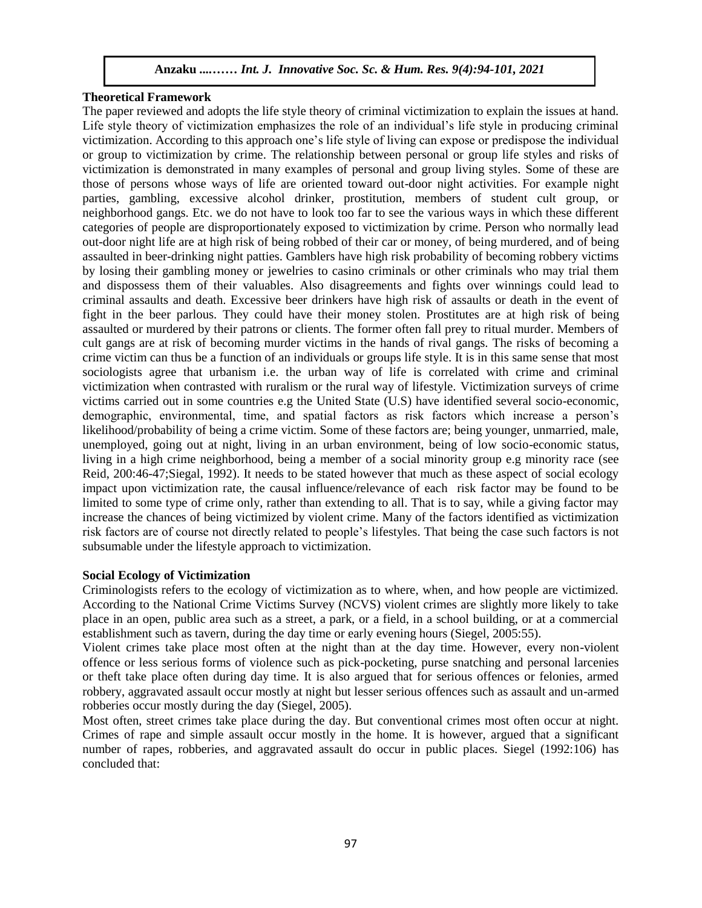## **Theoretical Framework**

The paper reviewed and adopts the life style theory of criminal victimization to explain the issues at hand. Life style theory of victimization emphasizes the role of an individual's life style in producing criminal victimization. According to this approach one's life style of living can expose or predispose the individual or group to victimization by crime. The relationship between personal or group life styles and risks of victimization is demonstrated in many examples of personal and group living styles. Some of these are those of persons whose ways of life are oriented toward out-door night activities. For example night parties, gambling, excessive alcohol drinker, prostitution, members of student cult group, or neighborhood gangs. Etc. we do not have to look too far to see the various ways in which these different categories of people are disproportionately exposed to victimization by crime. Person who normally lead out-door night life are at high risk of being robbed of their car or money, of being murdered, and of being assaulted in beer-drinking night patties. Gamblers have high risk probability of becoming robbery victims by losing their gambling money or jewelries to casino criminals or other criminals who may trial them and dispossess them of their valuables. Also disagreements and fights over winnings could lead to criminal assaults and death. Excessive beer drinkers have high risk of assaults or death in the event of fight in the beer parlous. They could have their money stolen. Prostitutes are at high risk of being assaulted or murdered by their patrons or clients. The former often fall prey to ritual murder. Members of cult gangs are at risk of becoming murder victims in the hands of rival gangs. The risks of becoming a crime victim can thus be a function of an individuals or groups life style. It is in this same sense that most sociologists agree that urbanism i.e. the urban way of life is correlated with crime and criminal victimization when contrasted with ruralism or the rural way of lifestyle. Victimization surveys of crime victims carried out in some countries e.g the United State (U.S) have identified several socio-economic, demographic, environmental, time, and spatial factors as risk factors which increase a person's likelihood/probability of being a crime victim. Some of these factors are; being younger, unmarried, male, unemployed, going out at night, living in an urban environment, being of low socio-economic status, living in a high crime neighborhood, being a member of a social minority group e.g minority race (see Reid, 200:46-47;Siegal, 1992). It needs to be stated however that much as these aspect of social ecology impact upon victimization rate, the causal influence/relevance of each risk factor may be found to be limited to some type of crime only, rather than extending to all. That is to say, while a giving factor may increase the chances of being victimized by violent crime. Many of the factors identified as victimization risk factors are of course not directly related to people's lifestyles. That being the case such factors is not subsumable under the lifestyle approach to victimization.

#### **Social Ecology of Victimization**

Criminologists refers to the ecology of victimization as to where, when, and how people are victimized. According to the National Crime Victims Survey (NCVS) violent crimes are slightly more likely to take place in an open, public area such as a street, a park, or a field, in a school building, or at a commercial establishment such as tavern, during the day time or early evening hours (Siegel, 2005:55).

Violent crimes take place most often at the night than at the day time. However, every non-violent offence or less serious forms of violence such as pick-pocketing, purse snatching and personal larcenies or theft take place often during day time. It is also argued that for serious offences or felonies, armed robbery, aggravated assault occur mostly at night but lesser serious offences such as assault and un-armed robberies occur mostly during the day (Siegel, 2005).

Most often, street crimes take place during the day. But conventional crimes most often occur at night. Crimes of rape and simple assault occur mostly in the home. It is however, argued that a significant number of rapes, robberies, and aggravated assault do occur in public places. Siegel (1992:106) has concluded that: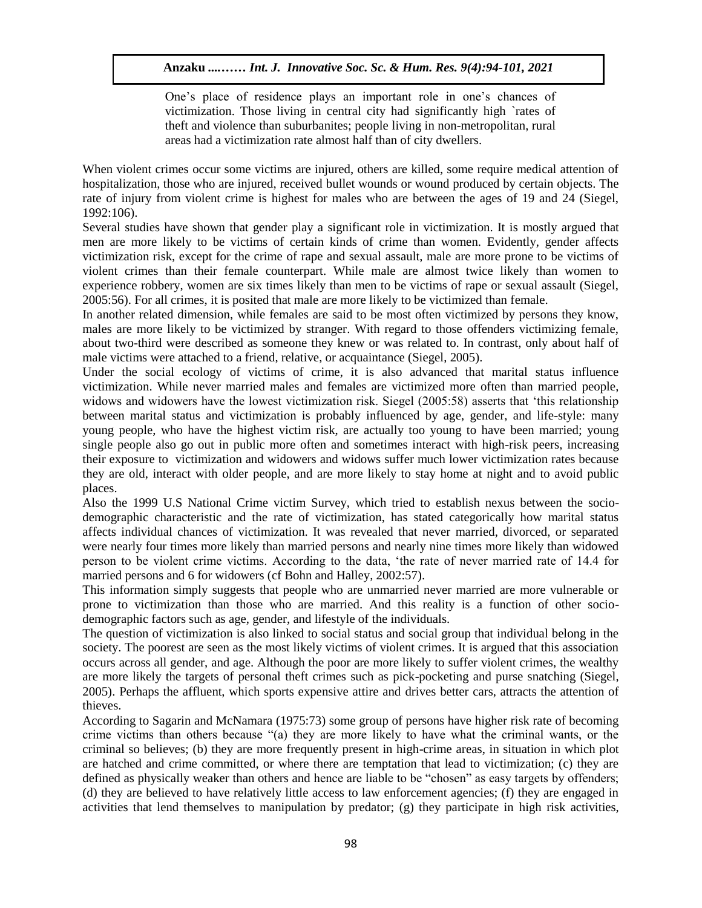One's place of residence plays an important role in one's chances of victimization. Those living in central city had significantly high `rates of theft and violence than suburbanites; people living in non-metropolitan, rural areas had a victimization rate almost half than of city dwellers.

When violent crimes occur some victims are injured, others are killed, some require medical attention of hospitalization, those who are injured, received bullet wounds or wound produced by certain objects. The rate of injury from violent crime is highest for males who are between the ages of 19 and 24 (Siegel, 1992:106).

Several studies have shown that gender play a significant role in victimization. It is mostly argued that men are more likely to be victims of certain kinds of crime than women. Evidently, gender affects victimization risk, except for the crime of rape and sexual assault, male are more prone to be victims of violent crimes than their female counterpart. While male are almost twice likely than women to experience robbery, women are six times likely than men to be victims of rape or sexual assault (Siegel, 2005:56). For all crimes, it is posited that male are more likely to be victimized than female.

In another related dimension, while females are said to be most often victimized by persons they know, males are more likely to be victimized by stranger. With regard to those offenders victimizing female, about two-third were described as someone they knew or was related to. In contrast, only about half of male victims were attached to a friend, relative, or acquaintance (Siegel, 2005).

Under the social ecology of victims of crime, it is also advanced that marital status influence victimization. While never married males and females are victimized more often than married people, widows and widowers have the lowest victimization risk. Siegel (2005:58) asserts that 'this relationship between marital status and victimization is probably influenced by age, gender, and life-style: many young people, who have the highest victim risk, are actually too young to have been married; young single people also go out in public more often and sometimes interact with high-risk peers, increasing their exposure to victimization and widowers and widows suffer much lower victimization rates because they are old, interact with older people, and are more likely to stay home at night and to avoid public places.

Also the 1999 U.S National Crime victim Survey, which tried to establish nexus between the sociodemographic characteristic and the rate of victimization, has stated categorically how marital status affects individual chances of victimization. It was revealed that never married, divorced, or separated were nearly four times more likely than married persons and nearly nine times more likely than widowed person to be violent crime victims. According to the data, 'the rate of never married rate of 14.4 for married persons and 6 for widowers (cf Bohn and Halley, 2002:57).

This information simply suggests that people who are unmarried never married are more vulnerable or prone to victimization than those who are married. And this reality is a function of other sociodemographic factors such as age, gender, and lifestyle of the individuals.

The question of victimization is also linked to social status and social group that individual belong in the society. The poorest are seen as the most likely victims of violent crimes. It is argued that this association occurs across all gender, and age. Although the poor are more likely to suffer violent crimes, the wealthy are more likely the targets of personal theft crimes such as pick-pocketing and purse snatching (Siegel, 2005). Perhaps the affluent, which sports expensive attire and drives better cars, attracts the attention of thieves.

According to Sagarin and McNamara (1975:73) some group of persons have higher risk rate of becoming crime victims than others because "(a) they are more likely to have what the criminal wants, or the criminal so believes; (b) they are more frequently present in high-crime areas, in situation in which plot are hatched and crime committed, or where there are temptation that lead to victimization; (c) they are defined as physically weaker than others and hence are liable to be "chosen" as easy targets by offenders; (d) they are believed to have relatively little access to law enforcement agencies; (f) they are engaged in activities that lend themselves to manipulation by predator; (g) they participate in high risk activities,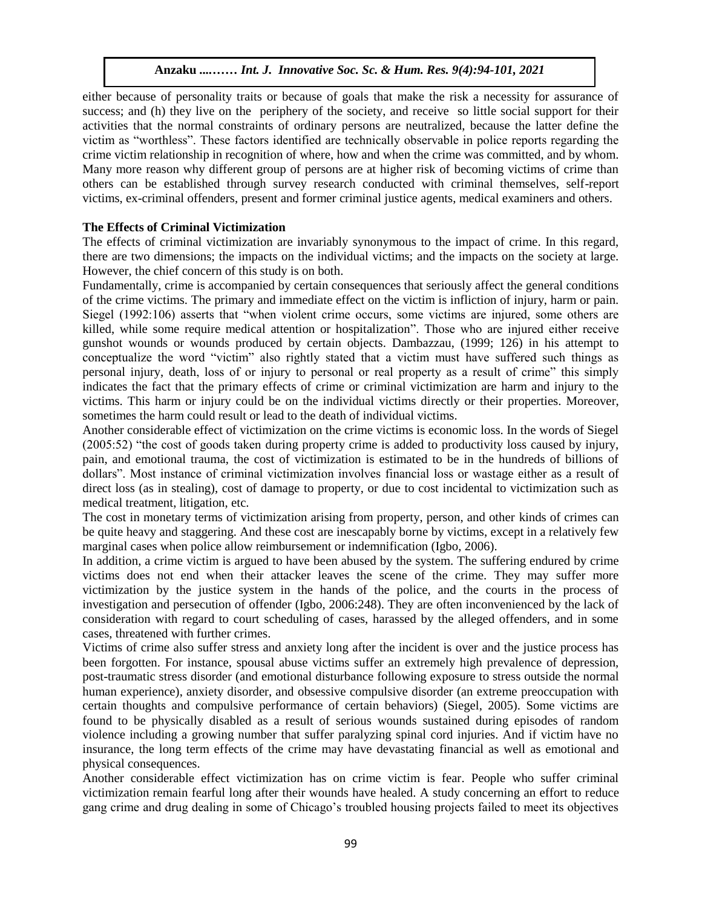either because of personality traits or because of goals that make the risk a necessity for assurance of success; and (h) they live on the periphery of the society, and receive so little social support for their activities that the normal constraints of ordinary persons are neutralized, because the latter define the victim as "worthless". These factors identified are technically observable in police reports regarding the crime victim relationship in recognition of where, how and when the crime was committed, and by whom. Many more reason why different group of persons are at higher risk of becoming victims of crime than others can be established through survey research conducted with criminal themselves, self-report victims, ex-criminal offenders, present and former criminal justice agents, medical examiners and others.

# **The Effects of Criminal Victimization**

The effects of criminal victimization are invariably synonymous to the impact of crime. In this regard, there are two dimensions; the impacts on the individual victims; and the impacts on the society at large. However, the chief concern of this study is on both.

Fundamentally, crime is accompanied by certain consequences that seriously affect the general conditions of the crime victims. The primary and immediate effect on the victim is infliction of injury, harm or pain. Siegel (1992:106) asserts that "when violent crime occurs, some victims are injured, some others are killed, while some require medical attention or hospitalization". Those who are injured either receive gunshot wounds or wounds produced by certain objects. Dambazzau, (1999; 126) in his attempt to conceptualize the word "victim" also rightly stated that a victim must have suffered such things as personal injury, death, loss of or injury to personal or real property as a result of crime" this simply indicates the fact that the primary effects of crime or criminal victimization are harm and injury to the victims. This harm or injury could be on the individual victims directly or their properties. Moreover, sometimes the harm could result or lead to the death of individual victims.

Another considerable effect of victimization on the crime victims is economic loss. In the words of Siegel (2005:52) "the cost of goods taken during property crime is added to productivity loss caused by injury, pain, and emotional trauma, the cost of victimization is estimated to be in the hundreds of billions of dollars". Most instance of criminal victimization involves financial loss or wastage either as a result of direct loss (as in stealing), cost of damage to property, or due to cost incidental to victimization such as medical treatment, litigation, etc.

The cost in monetary terms of victimization arising from property, person, and other kinds of crimes can be quite heavy and staggering. And these cost are inescapably borne by victims, except in a relatively few marginal cases when police allow reimbursement or indemnification (Igbo, 2006).

In addition, a crime victim is argued to have been abused by the system. The suffering endured by crime victims does not end when their attacker leaves the scene of the crime. They may suffer more victimization by the justice system in the hands of the police, and the courts in the process of investigation and persecution of offender (Igbo, 2006:248). They are often inconvenienced by the lack of consideration with regard to court scheduling of cases, harassed by the alleged offenders, and in some cases, threatened with further crimes.

Victims of crime also suffer stress and anxiety long after the incident is over and the justice process has been forgotten. For instance, spousal abuse victims suffer an extremely high prevalence of depression, post-traumatic stress disorder (and emotional disturbance following exposure to stress outside the normal human experience), anxiety disorder, and obsessive compulsive disorder (an extreme preoccupation with certain thoughts and compulsive performance of certain behaviors) (Siegel, 2005). Some victims are found to be physically disabled as a result of serious wounds sustained during episodes of random violence including a growing number that suffer paralyzing spinal cord injuries. And if victim have no insurance, the long term effects of the crime may have devastating financial as well as emotional and physical consequences.

Another considerable effect victimization has on crime victim is fear. People who suffer criminal victimization remain fearful long after their wounds have healed. A study concerning an effort to reduce gang crime and drug dealing in some of Chicago's troubled housing projects failed to meet its objectives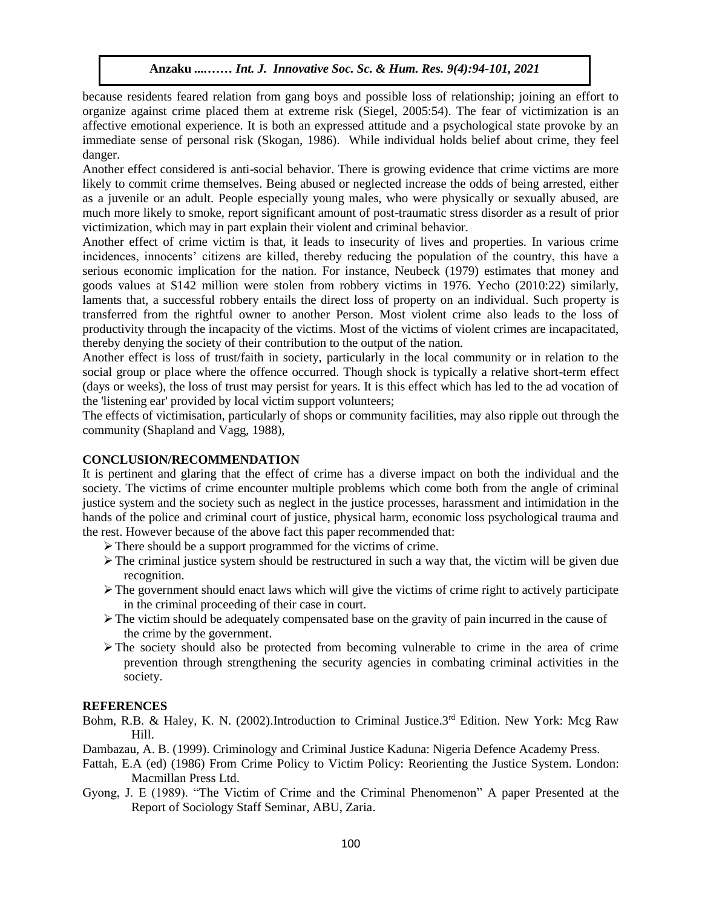because residents feared relation from gang boys and possible loss of relationship; joining an effort to organize against crime placed them at extreme risk (Siegel, 2005:54). The fear of victimization is an affective emotional experience. It is both an expressed attitude and a psychological state provoke by an immediate sense of personal risk (Skogan, 1986). While individual holds belief about crime, they feel danger.

Another effect considered is anti-social behavior. There is growing evidence that crime victims are more likely to commit crime themselves. Being abused or neglected increase the odds of being arrested, either as a juvenile or an adult. People especially young males, who were physically or sexually abused, are much more likely to smoke, report significant amount of post-traumatic stress disorder as a result of prior victimization, which may in part explain their violent and criminal behavior.

Another effect of crime victim is that, it leads to insecurity of lives and properties. In various crime incidences, innocents' citizens are killed, thereby reducing the population of the country, this have a serious economic implication for the nation. For instance, Neubeck (1979) estimates that money and goods values at \$142 million were stolen from robbery victims in 1976. Yecho (2010:22) similarly, laments that, a successful robbery entails the direct loss of property on an individual. Such property is transferred from the rightful owner to another Person. Most violent crime also leads to the loss of productivity through the incapacity of the victims. Most of the victims of violent crimes are incapacitated, thereby denying the society of their contribution to the output of the nation.

Another effect is loss of trust/faith in society, particularly in the local community or in relation to the social group or place where the offence occurred. Though shock is typically a relative short-term effect (days or weeks), the loss of trust may persist for years. It is this effect which has led to the ad vocation of the 'listening ear' provided by local victim support volunteers;

The effects of victimisation, particularly of shops or community facilities, may also ripple out through the community (Shapland and Vagg, 1988),

# **CONCLUSION/RECOMMENDATION**

It is pertinent and glaring that the effect of crime has a diverse impact on both the individual and the society. The victims of crime encounter multiple problems which come both from the angle of criminal justice system and the society such as neglect in the justice processes, harassment and intimidation in the hands of the police and criminal court of justice, physical harm, economic loss psychological trauma and the rest. However because of the above fact this paper recommended that:

- There should be a support programmed for the victims of crime.
- $\triangleright$  The criminal justice system should be restructured in such a way that, the victim will be given due recognition.
- $\triangleright$  The government should enact laws which will give the victims of crime right to actively participate in the criminal proceeding of their case in court.
- $\triangleright$  The victim should be adequately compensated base on the gravity of pain incurred in the cause of the crime by the government.
- $\triangleright$  The society should also be protected from becoming vulnerable to crime in the area of crime prevention through strengthening the security agencies in combating criminal activities in the society.

# **REFERENCES**

- Bohm, R.B. & Haley, K. N. (2002).Introduction to Criminal Justice.3rd Edition. New York: Mcg Raw Hill.
- Dambazau, A. B. (1999). Criminology and Criminal Justice Kaduna: Nigeria Defence Academy Press.
- Fattah, E.A (ed) (1986) From Crime Policy to Victim Policy: Reorienting the Justice System. London: Macmillan Press Ltd.
- Gyong, J. E (1989). "The Victim of Crime and the Criminal Phenomenon" A paper Presented at the Report of Sociology Staff Seminar, ABU, Zaria.